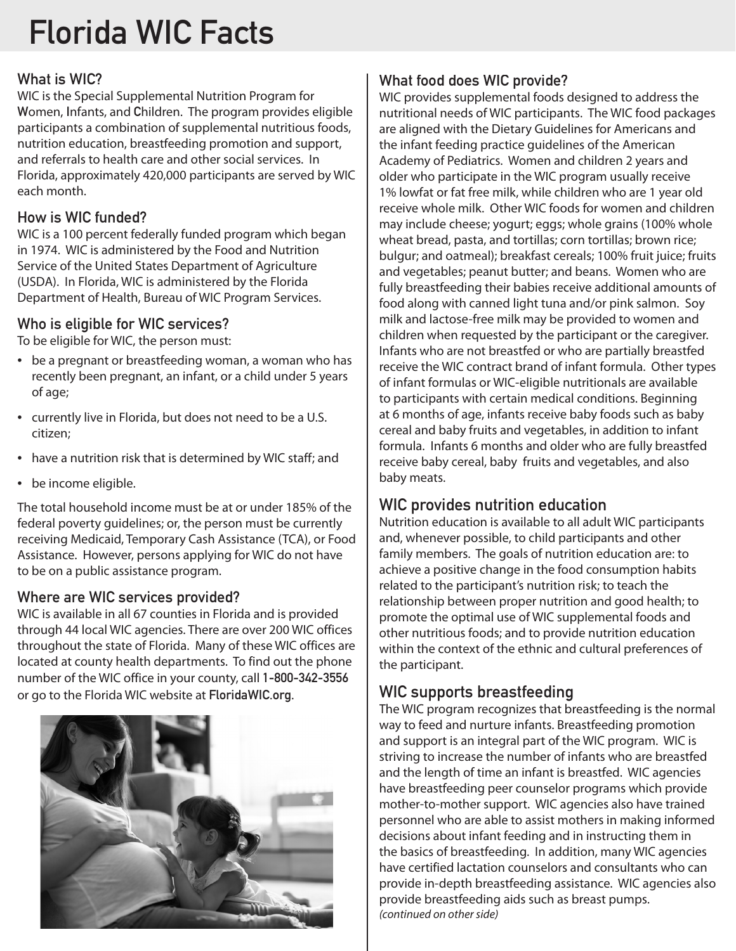# Florida WIC Facts

## What is WIC?

WIC is the Special Supplemental Nutrition Program for Women, Infants, and Children. The program provides eligible participants a combination of supplemental nutritious foods, nutrition education, breastfeeding promotion and support, and referrals to health care and other social services. In Florida, approximately 420,000 participants are served by WIC each month.

## How is WIC funded?

WIC is a 100 percent federally funded program which began in 1974. WIC is administered by the Food and Nutrition Service of the United States Department of Agriculture (USDA). In Florida, WIC is administered by the Florida Department of Health, Bureau of WIC Program Services.

## Who is eligible for WIC services?

To be eligible for WIC, the person must:

- be a pregnant or breastfeeding woman, a woman who has recently been pregnant, an infant, or a child under 5 years of age;
- currently live in Florida, but does not need to be a U.S. citizen;
- have a nutrition risk that is determined by WIC staff; and
- be income eligible.

The total household income must be at or under 185% of the federal poverty guidelines; or, the person must be currently receiving Medicaid, Temporary Cash Assistance (TCA), or Food Assistance. However, persons applying for WIC do not have to be on a public assistance program.

## Where are WIC services provided?

WIC is available in all 67 counties in Florida and is provided through 44 local WIC agencies. There are over 200 WIC offices throughout the state of Florida. Many of these WIC offices are located at county health departments. To find out the phone number of the WIC office in your county, call 1-800-342-3556 or go to the Florida WIC website at FloridaWIC.org.



## What food does WIC provide?

WIC provides supplemental foods designed to address the nutritional needs of WIC participants. The WIC food packages are aligned with the Dietary Guidelines for Americans and the infant feeding practice guidelines of the American Academy of Pediatrics. Women and children 2 years and older who participate in the WIC program usually receive 1% lowfat or fat free milk, while children who are 1 year old receive whole milk. Other WIC foods for women and children may include cheese; yogurt; eggs; whole grains (100% whole wheat bread, pasta, and tortillas; corn tortillas; brown rice; bulgur; and oatmeal); breakfast cereals; 100% fruit juice; fruits and vegetables; peanut butter; and beans. Women who are fully breastfeeding their babies receive additional amounts of food along with canned light tuna and/or pink salmon. Soy milk and lactose-free milk may be provided to women and children when requested by the participant or the caregiver. Infants who are not breastfed or who are partially breastfed receive the WIC contract brand of infant formula. Other types of infant formulas or WIC-eligible nutritionals are available to participants with certain medical conditions. Beginning at 6 months of age, infants receive baby foods such as baby cereal and baby fruits and vegetables, in addition to infant formula. Infants 6 months and older who are fully breastfed receive baby cereal, baby fruits and vegetables, and also baby meats.

## WIC provides nutrition education

Nutrition education is available to all adult WIC participants and, whenever possible, to child participants and other family members. The goals of nutrition education are: to achieve a positive change in the food consumption habits related to the participant's nutrition risk; to teach the relationship between proper nutrition and good health; to promote the optimal use of WIC supplemental foods and other nutritious foods; and to provide nutrition education within the context of the ethnic and cultural preferences of the participant.

## WIC supports breastfeeding

The WIC program recognizes that breastfeeding is the normal way to feed and nurture infants. Breastfeeding promotion and support is an integral part of the WIC program. WIC is striving to increase the number of infants who are breastfed and the length of time an infant is breastfed. WIC agencies have breastfeeding peer counselor programs which provide mother-to-mother support. WIC agencies also have trained personnel who are able to assist mothers in making informed decisions about infant feeding and in instructing them in the basics of breastfeeding. In addition, many WIC agencies have certified lactation counselors and consultants who can provide in-depth breastfeeding assistance. WIC agencies also provide breastfeeding aids such as breast pumps. *(continued on other side)*